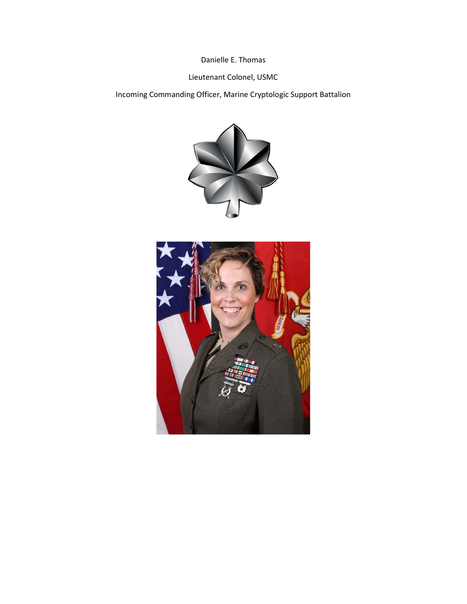Danielle E. Thomas

## Lieutenant Colonel, USMC

Incoming Commanding Officer, Marine Cryptologic Support Battalion